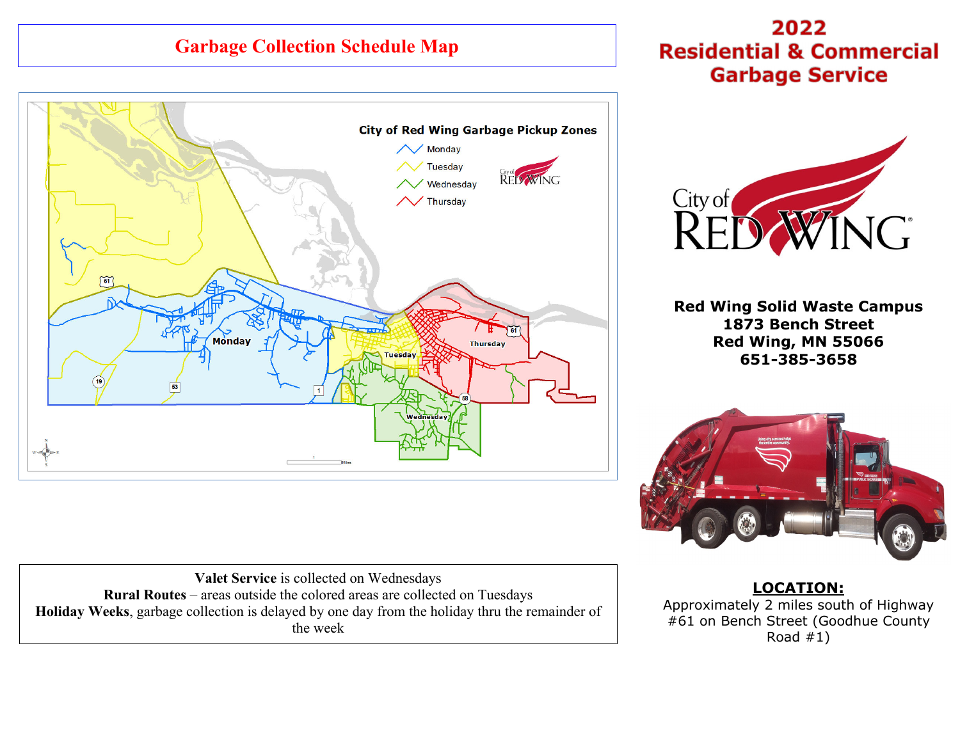# **Garbage Collection Schedule Map**



2022 **Residential & Commercial Garbage Service** 



**Red Wing Solid Waste Campus 1873 Bench Street Red Wing, MN 55066 651-385-3658** 



**Valet Service** is collected on Wednesdays **Rural Routes** – areas outside the colored areas are collected on Tuesdays **Holiday Weeks**, garbage collection is delayed by one day from the holiday thru the remainder of the week

**LOCATION:** Approximately 2 miles south of Highway #61 on Bench Street (Goodhue County Road  $#1)$